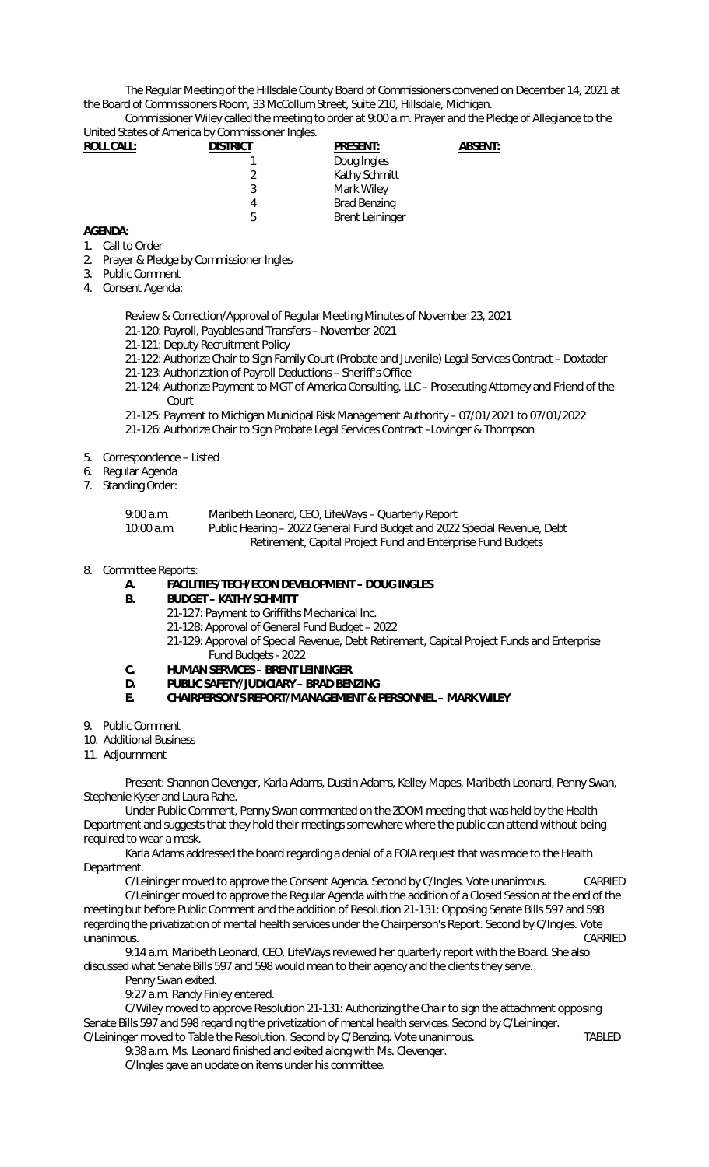The Regular Meeting of the Hillsdale County Board of Commissioners convened on December 14, 2021 at the Board of Commissioners Room, 33 McCollum Street, Suite 210, Hillsdale, Michigan.

Commissioner Wiley called the meeting to order at 9:00 a.m. Prayer and the Pledge of Allegiance to the United States of America by Commissioner Ingles.

| <b>ROLL CALL:</b> | <b>DISTRICT</b> | <b>PRESENT:</b>        | <b>ABSENT:</b> |
|-------------------|-----------------|------------------------|----------------|
|                   |                 | Doug Ingles            |                |
|                   |                 | Kathy Schmitt          |                |
|                   |                 | Mark Wiley             |                |
|                   | 4               | <b>Brad Benzing</b>    |                |
|                   | b               | <b>Brent Leininger</b> |                |

## **AGENDA:**

- 1. Call to Order
- 2. Prayer & Pledge by Commissioner Ingles
- 3. Public Comment
- 4. Consent Agenda:

Review & Correction/Approval of Regular Meeting Minutes of November 23, 2021

- 21-120: Payroll, Payables and Transfers November 2021
- 21-121: Deputy Recruitment Policy
- 21-122: Authorize Chair to Sign Family Court (Probate and Juvenile) Legal Services Contract Doxtader
- 21-123: Authorization of Payroll Deductions Sheriff's Office
- 21-124: Authorize Payment to MGT of America Consulting, LLC Prosecuting Attorney and Friend of the Court
- 21-125: Payment to Michigan Municipal Risk Management Authority 07/01/2021 to 07/01/2022
- 21-126: Authorize Chair to Sign Probate Legal Services Contract –Lovinger & Thompson
- 5. Correspondence Listed
- 6. Regular Agenda
- 7. Standing Order:

| 9:00 a.m.  | Maribeth Leonard, CEO, LifeWays - Quarterly Report                       |
|------------|--------------------------------------------------------------------------|
| 10:00 a.m. | Public Hearing – 2022 General Fund Budget and 2022 Special Revenue, Debt |
|            | Retirement, Capital Project Fund and Enterprise Fund Budgets             |

## 8. Committee Reports:

- **A. FACILITIES/TECH/ECON DEVELOPMENT DOUG INGLES**
- **B. BUDGET KATHY SCHMITT** 
	- 21-127: Payment to Griffiths Mechanical Inc.
	- 21-128: Approval of General Fund Budget 2022

21-129: Approval of Special Revenue, Debt Retirement, Capital Project Funds and Enterprise Fund Budgets - 2022

- **C. HUMAN SERVICES BRENT LEININGER**
- **D. PUBLIC SAFETY/JUDICIARY BRAD BENZING**
- **E. CHAIRPERSON'S REPORT/MANAGEMENT & PERSONNEL MARK WILEY**
- 9. Public Comment
- 10. Additional Business
- 11. Adjournment

Present: Shannon Clevenger, Karla Adams, Dustin Adams, Kelley Mapes, Maribeth Leonard, Penny Swan, Stephenie Kyser and Laura Rahe.

Under Public Comment, Penny Swan commented on the ZOOM meeting that was held by the Health Department and suggests that they hold their meetings somewhere where the public can attend without being required to wear a mask.

Karla Adams addressed the board regarding a denial of a FOIA request that was made to the Health Department.

C/Leininger moved to approve the Consent Agenda. Second by C/Ingles. Vote unanimous. CARRIED

C/Leininger moved to approve the Regular Agenda with the addition of a Closed Session at the end of the meeting but before Public Comment and the addition of Resolution 21-131: Opposing Senate Bills 597 and 598 regarding the privatization of mental health services under the Chairperson's Report. Second by C/Ingles. Vote unanimous. CARRIED

9:14 a.m. Maribeth Leonard, CEO, LifeWays reviewed her quarterly report with the Board. She also discussed what Senate Bills 597 and 598 would mean to their agency and the clients they serve.

Penny Swan exited.

9:27 a.m. Randy Finley entered.

C/Wiley moved to approve Resolution 21-131: Authorizing the Chair to sign the attachment opposing Senate Bills 597 and 598 regarding the privatization of mental health services. Second by C/Leininger. C/Leininger moved to Table the Resolution. Second by C/Benzing. Vote unanimous. TABLED

.<br>9:38 a.m. Ms. Leonard finished and exited along with Ms. Clevenger.

C/Ingles gave an update on items under his committee.